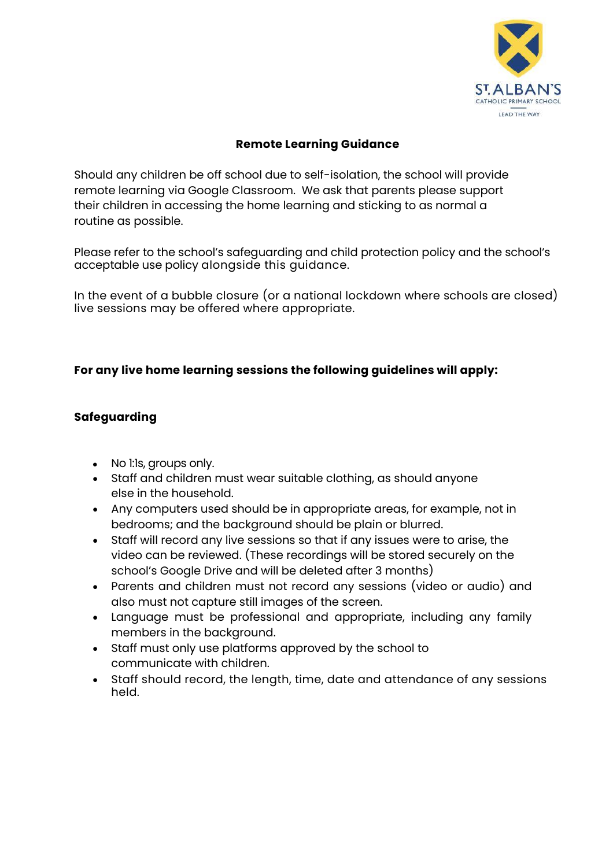

### **Remote Learning Guidance**

Should any children be off school due to self-isolation, the school will provide remote learning via Google Classroom. We ask that parents please support their children in accessing the home learning and sticking to as normal a routine as possible.

Please refer to the school's safeguarding and child protection policy and the school's acceptable use policy alongside this guidance.

In the event of a bubble closure (or a national lockdown where schools are closed) live sessions may be offered where appropriate.

# **For any live home learning sessions the following guidelines will apply:**

# **Safeguarding**

- No 1:1s, groups only.
- Staff and children must wear suitable clothing, as should anyone else in the household.
- Any computers used should be in appropriate areas, for example, not in bedrooms; and the background should be plain or blurred.
- Staff will record any live sessions so that if any issues were to arise, the video can be reviewed. (These recordings will be stored securely on the school's Google Drive and will be deleted after 3 months)
- Parents and children must not record any sessions (video or audio) and also must not capture still images of the screen.
- Language must be professional and appropriate, including any family members in the background.
- Staff must only use platforms approved by the school to communicate with children.
- Staff should record, the length, time, date and attendance of any sessions held.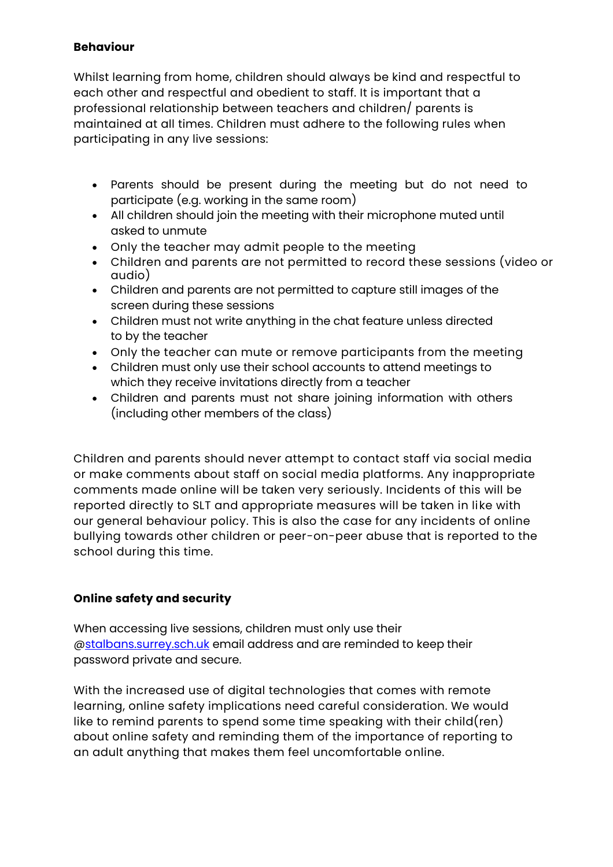#### **Behaviour**

Whilst learning from home, children should always be kind and respectful to each other and respectful and obedient to staff. It is important that a professional relationship between teachers and children/ parents is maintained at all times. Children must adhere to the following rules when participating in any live sessions:

- Parents should be present during the meeting but do not need to participate (e.g. working in the same room)
- All children should join the meeting with their microphone muted until asked to unmute
- Only the teacher may admit people to the meeting
- Children and parents are not permitted to record these sessions (video or audio)
- Children and parents are not permitted to capture still images of the screen during these sessions
- Children must not write anything in the chat feature unless directed to by the teacher
- Only the teacher can mute or remove participants from the meeting
- Children must only use their school accounts to attend meetings to which they receive invitations directly from a teacher
- Children and parents must not share joining information with others (including other members of the class)

Children and parents should never attempt to contact staff via social media or make comments about staff on social media platforms. Any inappropriate comments made online will be taken very seriously. Incidents of this will be reported directly to SLT and appropriate measures will be taken in like with our general behaviour policy. This is also the case for any incidents of online bullying towards other children or peer-on-peer abuse that is reported to the school during this time.

#### **Online safety and security**

When accessing live sessions, children must only use their [@stalbans.surrey.sch.uk](http://stalbans.surrey.sch.uk/) email address and are reminded to keep their password private and secure.

With the increased use of digital technologies that comes with remote learning, online safety implications need careful consideration. We would like to remind parents to spend some time speaking with their child(ren) about online safety and reminding them of the importance of reporting to an adult anything that makes them feel uncomfortable online.